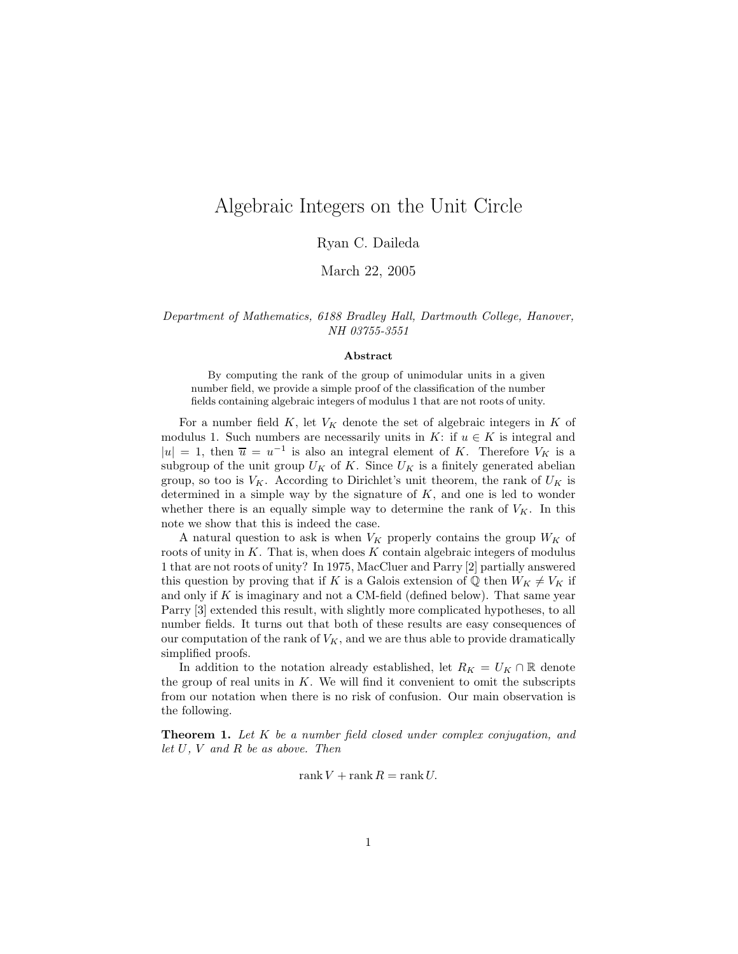# Algebraic Integers on the Unit Circle

### Ryan C. Daileda

March 22, 2005

Department of Mathematics, 6188 Bradley Hall, Dartmouth College, Hanover, NH 03755-3551

#### Abstract

By computing the rank of the group of unimodular units in a given number field, we provide a simple proof of the classification of the number fields containing algebraic integers of modulus 1 that are not roots of unity.

For a number field  $K$ , let  $V_K$  denote the set of algebraic integers in  $K$  of modulus 1. Such numbers are necessarily units in  $K:$  if  $u \in K$  is integral and  $|u| = 1$ , then  $\overline{u} = u^{-1}$  is also an integral element of K. Therefore  $V_K$  is a subgroup of the unit group  $U_K$  of K. Since  $U_K$  is a finitely generated abelian group, so too is  $V_K$ . According to Dirichlet's unit theorem, the rank of  $U_K$  is determined in a simple way by the signature of  $K$ , and one is led to wonder whether there is an equally simple way to determine the rank of  $V_K$ . In this note we show that this is indeed the case.

A natural question to ask is when  $V_K$  properly contains the group  $W_K$  of roots of unity in  $K$ . That is, when does  $K$  contain algebraic integers of modulus 1 that are not roots of unity? In 1975, MacCluer and Parry [2] partially answered this question by proving that if K is a Galois extension of  $\mathbb{Q}$  then  $W_K \neq V_K$  if and only if  $K$  is imaginary and not a CM-field (defined below). That same year Parry [3] extended this result, with slightly more complicated hypotheses, to all number fields. It turns out that both of these results are easy consequences of our computation of the rank of  $V_K$ , and we are thus able to provide dramatically simplified proofs.

In addition to the notation already established, let  $R_K = U_K \cap \mathbb{R}$  denote the group of real units in  $K$ . We will find it convenient to omit the subscripts from our notation when there is no risk of confusion. Our main observation is the following.

**Theorem 1.** Let K be a number field closed under complex conjugation, and let  $U, V$  and  $R$  be as above. Then

$$
rank V + rank R = rank U.
$$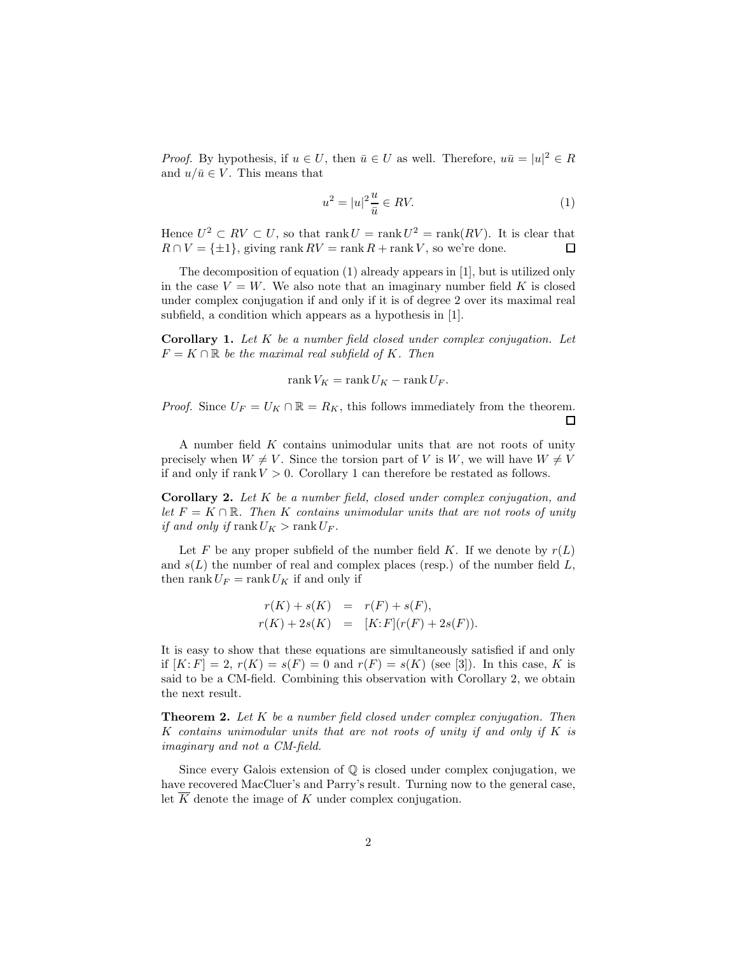*Proof.* By hypothesis, if  $u \in U$ , then  $\bar{u} \in U$  as well. Therefore,  $u\bar{u} = |u|^2 \in R$ and  $u/\bar{u} \in V$ . This means that

$$
u^2 = |u|^2 \frac{u}{\bar{u}} \in RV.
$$
\n<sup>(1)</sup>

Hence  $U^2 \subset RV \subset U$ , so that rank  $U = \text{rank } U^2 = \text{rank}(RV)$ . It is clear that  $R \cap V = \{\pm 1\}$ , giving rank  $RV = \text{rank } R + \text{rank } V$ , so we're done.  $R \cap V = \{\pm 1\}$ , giving rank  $RV = \text{rank } R + \text{rank } V$ , so we're done.

The decomposition of equation (1) already appears in [1], but is utilized only in the case  $V = W$ . We also note that an imaginary number field K is closed under complex conjugation if and only if it is of degree 2 over its maximal real subfield, a condition which appears as a hypothesis in [1].

**Corollary 1.** Let  $K$  be a number field closed under complex conjugation. Let  $F = K \cap \mathbb{R}$  be the maximal real subfield of K. Then

$$
rank V_K = rank U_K - rank U_F.
$$

*Proof.* Since  $U_F = U_K \cap \mathbb{R} = R_K$ , this follows immediately from the theorem.

A number field K contains unimodular units that are not roots of unity precisely when  $W \neq V$ . Since the torsion part of V is W, we will have  $W \neq V$ if and only if rank  $V > 0$ . Corollary 1 can therefore be restated as follows.

Corollary 2. Let K be a number field, closed under complex conjugation, and let  $F = K \cap \mathbb{R}$ . Then K contains unimodular units that are not roots of unity if and only if  $\text{rank } U_K > \text{rank } U_F$ .

Let F be any proper subfield of the number field K. If we denote by  $r(L)$ and  $s(L)$  the number of real and complex places (resp.) of the number field  $L$ , then rank  $U_F = \text{rank } U_K$  if and only if

$$
r(K) + s(K) = r(F) + s(F),
$$
  
\n
$$
r(K) + 2s(K) = [K:F](r(F) + 2s(F)).
$$

It is easy to show that these equations are simultaneously satisfied if and only if  $[K: F] = 2, r(K) = s(F) = 0$  and  $r(F) = s(K)$  (see [3]). In this case, K is said to be a CM-field. Combining this observation with Corollary 2, we obtain the next result.

**Theorem 2.** Let  $K$  be a number field closed under complex conjugation. Then K contains unimodular units that are not roots of unity if and only if  $K$  is imaginary and not a CM-field.

Since every Galois extension of  $\mathbb Q$  is closed under complex conjugation, we have recovered MacCluer's and Parry's result. Turning now to the general case, let  $K$  denote the image of  $K$  under complex conjugation.